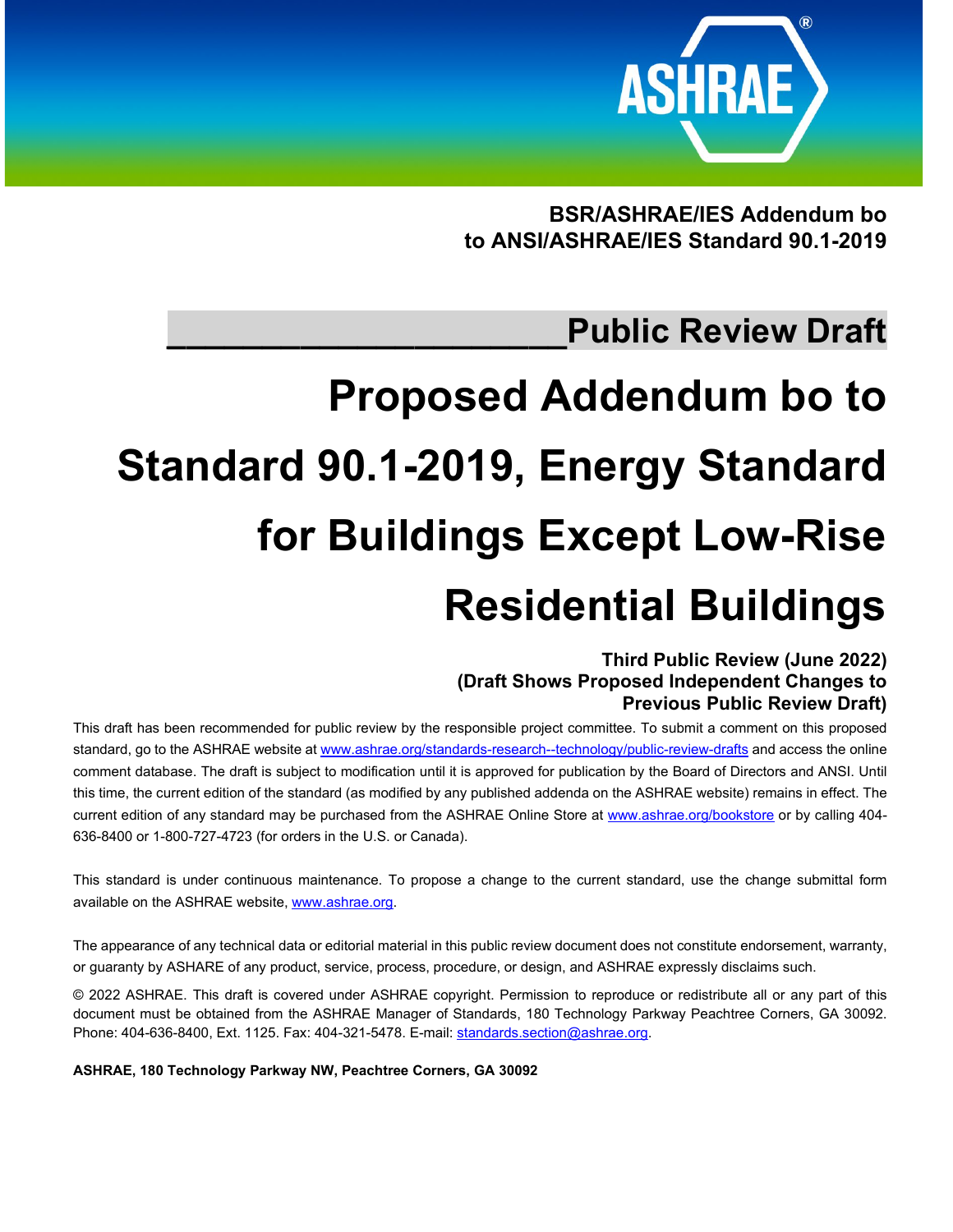

**BSR/ASHRAE/IES Addendum bo to ANSI/ASHRAE/IES Standard 90.1-2019**

# **\_\_\_\_\_\_\_\_\_\_\_\_\_\_\_\_\_\_\_\_\_Public Review Draft**

# **Proposed Addendum bo to Standard 90.1-2019, Energy Standard for Buildings Except Low-Rise Residential Buildings**

# **Third Public Review (June 2022) (Draft Shows Proposed Independent Changes to Previous Public Review Draft)**

This draft has been recommended for public review by the responsible project committee. To submit a comment on this proposed standard, go to the ASHRAE website at [www.ashrae.org/standards-research--technology/public-review-drafts](http://www.ashrae.org/standards-research--technology/public-review-drafts) and access the online comment database. The draft is subject to modification until it is approved for publication by the Board of Directors and ANSI. Until this time, the current edition of the standard (as modified by any published addenda on the ASHRAE website) remains in effect. The current edition of any standard may be purchased from the ASHRAE Online Store at [www.ashrae.org/bookstore](http://www.ashrae.org/bookstore) or by calling 404- 636-8400 or 1-800-727-4723 (for orders in the U.S. or Canada).

This standard is under continuous maintenance. To propose a change to the current standard, use the change submittal form available on the ASHRAE website[, www.ashrae.org.](http://www.ashrae.org/)

The appearance of any technical data or editorial material in this public review document does not constitute endorsement, warranty, or guaranty by ASHARE of any product, service, process, procedure, or design, and ASHRAE expressly disclaims such.

© 2022 ASHRAE. This draft is covered under ASHRAE copyright. Permission to reproduce or redistribute all or any part of this document must be obtained from the ASHRAE Manager of Standards, 180 Technology Parkway Peachtree Corners, GA 30092. Phone: 404-636-8400, Ext. 1125. Fax: 404-321-5478. E-mail[: standards.section@ashrae.org.](mailto:standards.section@ashrae.org)

**ASHRAE, 180 Technology Parkway NW, Peachtree Corners, GA 30092**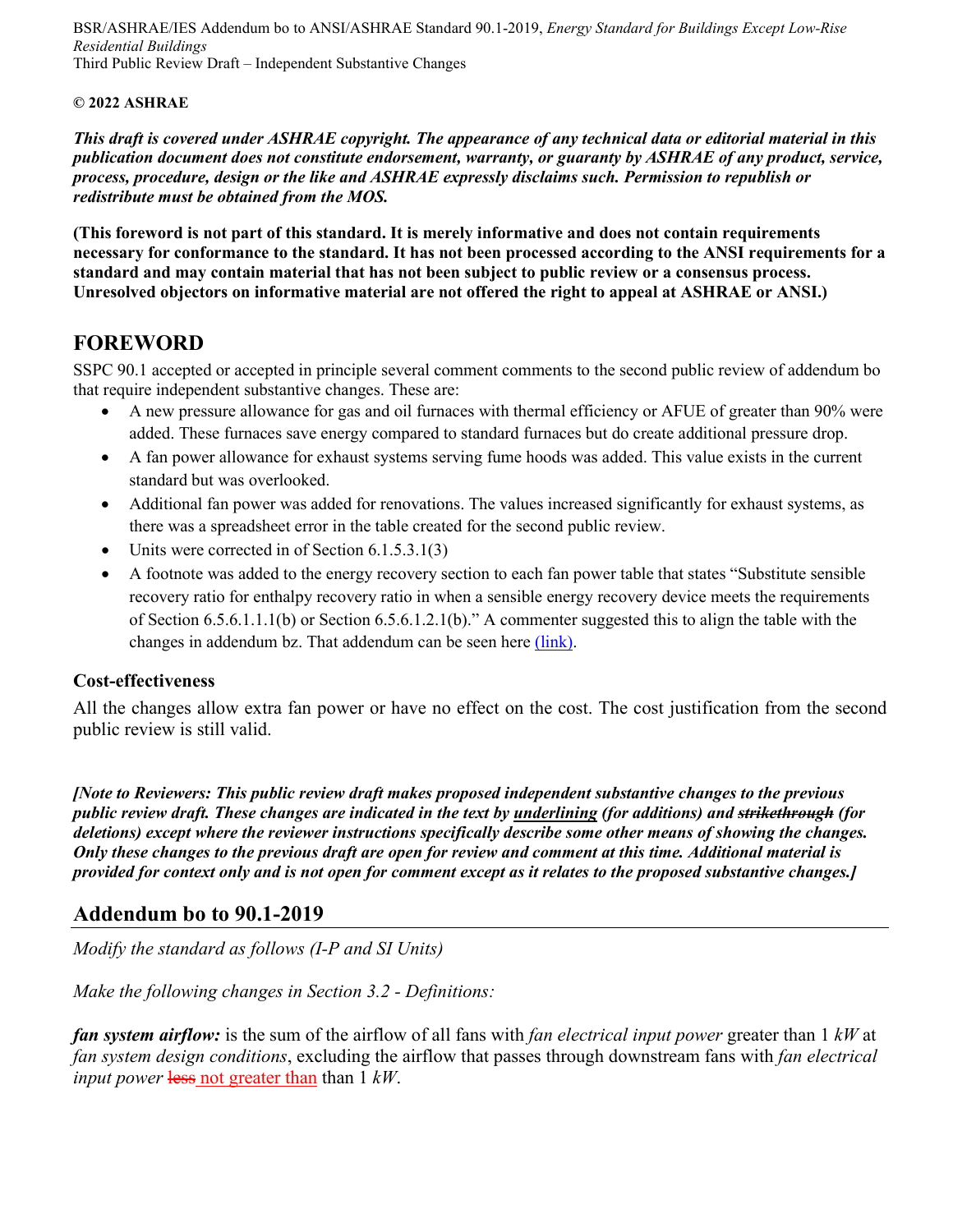BSR/ASHRAE/IES Addendum bo to ANSI/ASHRAE Standard 90.1-2019, *Energy Standard for Buildings Except Low-Rise Residential Buildings* Third Public Review Draft – Independent Substantive Changes

#### **© 2022 ASHRAE**

*This draft is covered under ASHRAE copyright. The appearance of any technical data or editorial material in this publication document does not constitute endorsement, warranty, or guaranty by ASHRAE of any product, service, process, procedure, design or the like and ASHRAE expressly disclaims such. Permission to republish or redistribute must be obtained from the MOS.*

**(This foreword is not part of this standard. It is merely informative and does not contain requirements necessary for conformance to the standard. It has not been processed according to the ANSI requirements for a standard and may contain material that has not been subject to public review or a consensus process. Unresolved objectors on informative material are not offered the right to appeal at ASHRAE or ANSI.)**

# **FOREWORD**

SSPC 90.1 accepted or accepted in principle several comment comments to the second public review of addendum bo that require independent substantive changes. These are:

- A new pressure allowance for gas and oil furnaces with thermal efficiency or AFUE of greater than 90% were added. These furnaces save energy compared to standard furnaces but do create additional pressure drop.
- A fan power allowance for exhaust systems serving fume hoods was added. This value exists in the current standard but was overlooked.
- Additional fan power was added for renovations. The values increased significantly for exhaust systems, as there was a spreadsheet error in the table created for the second public review.
- Units were corrected in of Section 6.1.5.3.1(3)
- A footnote was added to the energy recovery section to each fan power table that states "Substitute sensible recovery ratio for enthalpy recovery ratio in when a sensible energy recovery device meets the requirements of Section 6.5.6.1.1.1(b) or Section 6.5.6.1.2.1(b)." A commenter suggested this to align the table with the changes in addendum bz. That addendum can be seen her[e \(link\).](https://www.ashrae.org/file%20library/technical%20resources/standards%20and%20guidelines/standards%20addenda/90_1_2019_bz_20220429.pdf)

## **Cost-effectiveness**

All the changes allow extra fan power or have no effect on the cost. The cost justification from the second public review is still valid.

*[Note to Reviewers: This public review draft makes proposed independent substantive changes to the previous public review draft. These changes are indicated in the text by underlining (for additions) and strikethrough (for deletions) except where the reviewer instructions specifically describe some other means of showing the changes. Only these changes to the previous draft are open for review and comment at this time. Additional material is provided for context only and is not open for comment except as it relates to the proposed substantive changes.]*

# **Addendum bo to 90.1-2019**

*Modify the standard as follows (I-P and SI Units)*

*Make the following changes in Section 3.2 - Definitions:*

*fan system airflow:* is the sum of the airflow of all fans with *fan electrical input power* greater than 1 *kW* at *fan system design conditions*, excluding the airflow that passes through downstream fans with *fan electrical input power* less not greater than than 1 *kW*.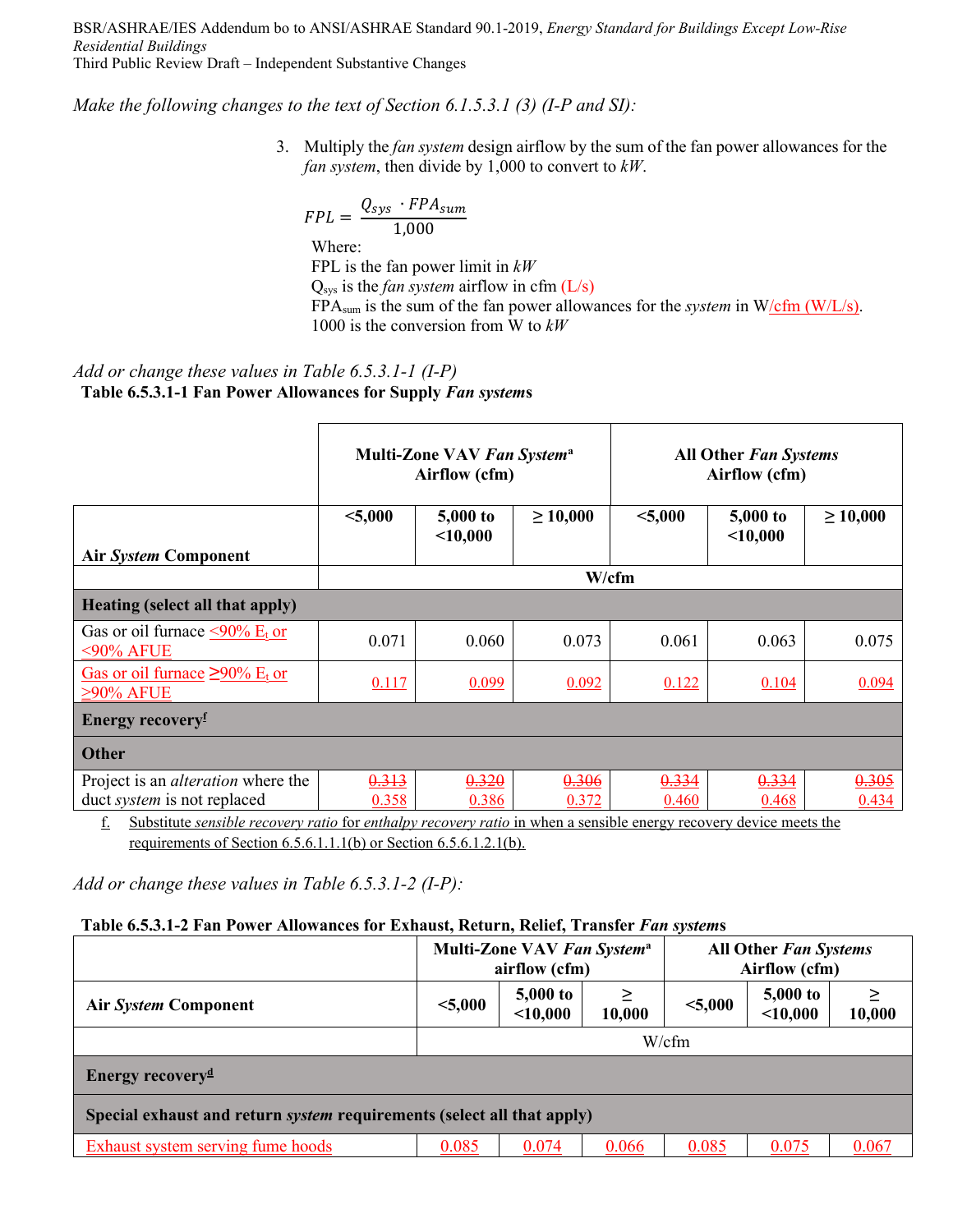BSR/ASHRAE/IES Addendum bo to ANSI/ASHRAE Standard 90.1-2019, *Energy Standard for Buildings Except Low-Rise Residential Buildings* Third Public Review Draft – Independent Substantive Changes

*Make the following changes to the text of Section 6.1.5.3.1 (3) (I-P and SI):*

3. Multiply the *fan system* design airflow by the sum of the fan power allowances for the *fan system*, then divide by 1,000 to convert to *kW*.

$$
FPL = \frac{Q_{sys} \cdot FPA_{sum}}{1,000}
$$
  
Where:  
FPL is the fan power limit in *kW*  
 $Q_{sys}$  is the *fan system* airflow in cfm (L/s)  
EDA is the sum of the for power allow

FPA<sub>sum</sub> is the sum of the fan power allowances for the *system* in W/cfm (W/L/s). 1000 is the conversion from W to *kW*

# *Add or change these values in Table 6.5.3.1-1 (I-P)* **Table 6.5.3.1-1 Fan Power Allowances for Supply** *Fan system***s**

|                                                                                 | Multi-Zone VAV Fan System <sup>a</sup><br>Airflow (cfm) |                          |                | <b>All Other Fan Systems</b><br>Airflow (cfm) |                      |                |  |
|---------------------------------------------------------------------------------|---------------------------------------------------------|--------------------------|----------------|-----------------------------------------------|----------------------|----------------|--|
| Air System Component                                                            | < 5,000                                                 | $5,000$ to<br>$<$ 10,000 | $\geq 10,000$  | < 5,000                                       | 5,000 to<br>< 10,000 | $\geq 10,000$  |  |
|                                                                                 |                                                         |                          | W/cfm          |                                               |                      |                |  |
| Heating (select all that apply)                                                 |                                                         |                          |                |                                               |                      |                |  |
| Gas or oil furnace $\leq 90\%$ E <sub>t</sub> or<br>$<$ 90% AFUE                | 0.071                                                   | 0.060                    | 0.073          | 0.061                                         | 0.063                | 0.075          |  |
| Gas or oil furnace $\geq 90\%$ E <sub>t</sub> or<br>$\geq$ 90% AFUE             | 0.117                                                   | 0.099                    | 0.092          | 0.122                                         | 0.104                | 0.094          |  |
| <b>Energy recovery</b>                                                          |                                                         |                          |                |                                               |                      |                |  |
| <b>Other</b>                                                                    |                                                         |                          |                |                                               |                      |                |  |
| Project is an <i>alteration</i> where the<br>duct <i>system</i> is not replaced | 0.313<br>0.358                                          | 0.320<br>0.386           | 0.306<br>0.372 | 0.334<br>0.460                                | 0.334<br>0.468       | 0.305<br>0.434 |  |

f. Substitute *sensible recovery ratio* for *enthalpy recovery ratio* in when a sensible energy recovery device meets the requirements of Section 6.5.6.1.1.1(b) or Section 6.5.6.1.2.1(b).

*Add or change these values in Table 6.5.3.1-2 (I-P):*

#### **Table 6.5.3.1-2 Fan Power Allowances for Exhaust, Return, Relief, Transfer** *Fan system***s**

|                                                                        | Multi-Zone VAV Fan System <sup>a</sup><br><b>All Other Fan Systems</b><br>airflow (cfm)<br>Airflow (cfm) |                        |             |         |                               |        |  |  |
|------------------------------------------------------------------------|----------------------------------------------------------------------------------------------------------|------------------------|-------------|---------|-------------------------------|--------|--|--|
| <b>Air System Component</b>                                            | < 5,000                                                                                                  | 5,000 to<br>$<$ 10,000 | ≥<br>10,000 | < 5,000 | <b>5,000 to</b><br>$<$ 10,000 | 10,000 |  |  |
|                                                                        | W/cfm                                                                                                    |                        |             |         |                               |        |  |  |
| <b>Energy recovery</b> <sup><math>d</math></sup>                       |                                                                                                          |                        |             |         |                               |        |  |  |
| Special exhaust and return system requirements (select all that apply) |                                                                                                          |                        |             |         |                               |        |  |  |
| Exhaust system serving fume hoods                                      | 0.085                                                                                                    | 0.074                  | 0.066       | 0.085   | 0.075                         | 0.067  |  |  |